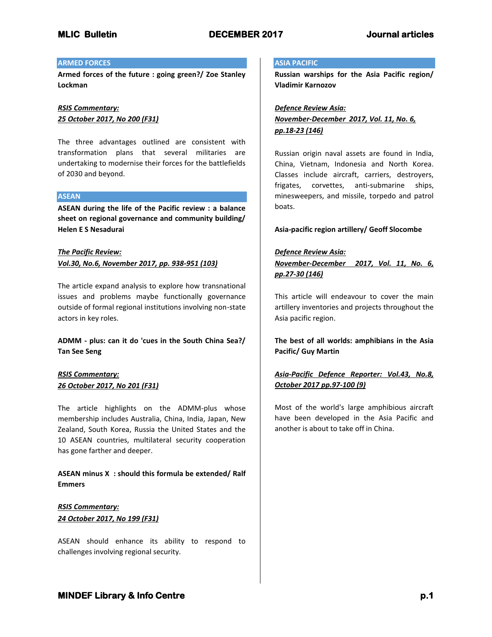## **ARMED FORCES**

**Armed forces of the future : going green?/ Zoe Stanley Lockman**

# *RSIS Commentary: 25 October 2017, No 200 (F31)*

The three advantages outlined are consistent with transformation plans that several militaries are undertaking to modernise their forces for the battlefields of 2030 and beyond.

## **ASEAN**

**ASEAN during the life of the Pacific review : a balance sheet on regional governance and community building/ Helen E S Nesadurai**

# *The Pacific Review: Vol.30, No.6, November 2017, pp. 938-951 (103)*

The article expand analysis to explore how transnational issues and problems maybe functionally governance outside of formal regional institutions involving non-state actors in key roles.

**ADMM - plus: can it do 'cues in the South China Sea?/ Tan See Seng**

# *RSIS Commentary: 26 October 2017, No 201 (F31)*

The article highlights on the ADMM-plus whose membership includes Australia, China, India, Japan, New Zealand, South Korea, Russia the United States and the 10 ASEAN countries, multilateral security cooperation has gone farther and deeper.

# **ASEAN minus X : should this formula be extended/ Ralf Emmers**

# *RSIS Commentary: 24 October 2017, No 199 (F31)*

ASEAN should enhance its ability to respond to challenges involving regional security.

## **ASIA PACIFIC**

**Russian warships for the Asia Pacific region/ Vladimir Karnozov**

# *Defence Review Asia: November-December 2017, Vol. 11, No. 6, pp.18-23 (146)*

Russian origin naval assets are found in India, China, Vietnam, Indonesia and North Korea. Classes include aircraft, carriers, destroyers, frigates, corvettes, anti-submarine ships, minesweepers, and missile, torpedo and patrol boats.

## **Asia-pacific region artillery/ Geoff Slocombe**

## *Defence Review Asia:*

*November-December 2017, Vol. 11, No. 6, pp.27-30 (146)*

This article will endeavour to cover the main artillery inventories and projects throughout the Asia pacific region.

**The best of all worlds: amphibians in the Asia Pacific/ Guy Martin**

# *Asia-Pacific Defence Reporter: Vol.43, No.8, October 2017 pp.97-100 (9)*

Most of the world's large amphibious aircraft have been developed in the Asia Pacific and another is about to take off in China.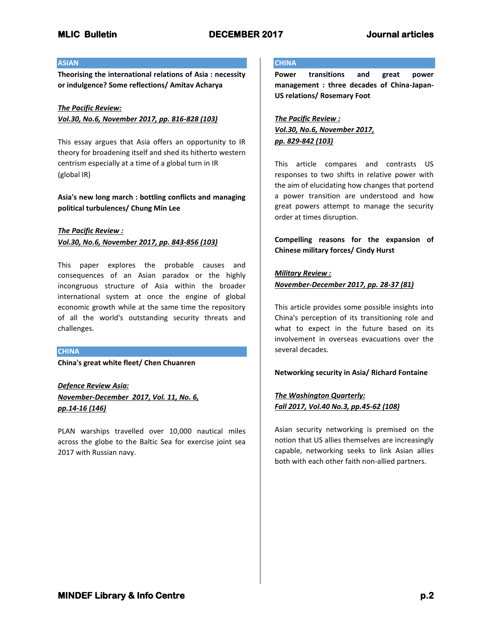## **ASIAN**

**Theorising the international relations of Asia : necessity or indulgence? Some reflections/ Amitav Acharya**

# *The Pacific Review: Vol.30, No.6, November 2017, pp. 816-828 (103)*

This essay argues that Asia offers an opportunity to IR theory for broadening itself and shed its hitherto western centrism especially at a time of a global turn in IR (global IR)

# **Asia's new long march : bottling conflicts and managing political turbulences/ Chung Min Lee**

## *The Pacific Review : Vol.30, No.6, November 2017, pp. 843-856 (103)*

This paper explores the probable causes and consequences of an Asian paradox or the highly incongruous structure of Asia within the broader international system at once the engine of global economic growth while at the same time the repository of all the world's outstanding security threats and challenges.

## **CHINA**

**China's great white fleet/ Chen Chuanren**

*Defence Review Asia: November-December 2017, Vol. 11, No. 6, pp.14-16 (146)*

PLAN warships travelled over 10,000 nautical miles across the globe to the Baltic Sea for exercise joint sea 2017 with Russian navy.

# **CHINA**

**Power transitions and great power management : three decades of China-Japan-US relations/ Rosemary Foot**

*The Pacific Review : Vol.30, No.6, November 2017, pp. 829-842 (103)*

This article compares and contrasts US responses to two shifts in relative power with the aim of elucidating how changes that portend a power transition are understood and how great powers attempt to manage the security order at times disruption.

**Compelling reasons for the expansion of Chinese military forces/ Cindy Hurst**

## *Military Review : November-December 2017, pp. 28-37 (81)*

This article provides some possible insights into China's perception of its transitioning role and what to expect in the future based on its involvement in overseas evacuations over the several decades.

## **Networking security in Asia/ Richard Fontaine**

# *The Washington Quarterly: Fall 2017, Vol.40 No.3, pp.45-62 (108)*

Asian security networking is premised on the notion that US allies themselves are increasingly capable, networking seeks to link Asian allies both with each other faith non-allied partners.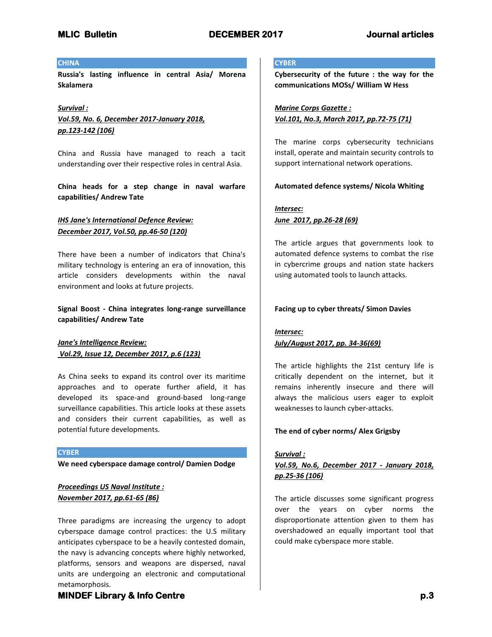## **CHINA**

**Russia's lasting influence in central Asia/ Morena Skalamera**

*Survival : Vol.59, No. 6, December 2017-January 2018, pp.123-142 (106)*

China and Russia have managed to reach a tacit understanding over their respective roles in central Asia.

**China heads for a step change in naval warfare capabilities/ Andrew Tate**

# *IHS Jane's International Defence Review: December 2017, Vol.50, pp.46-50 (120)*

There have been a number of indicators that China's military technology is entering an era of innovation, this article considers developments within the naval environment and looks at future projects.

# **Signal Boost - China integrates long-range surveillance capabilities/ Andrew Tate**

*Jane's Intelligence Review: Vol.29, Issue 12, December 2017, p.6 (123)*

As China seeks to expand its control over its maritime approaches and to operate further afield, it has developed its space-and ground-based long-range surveillance capabilities. This article looks at these assets and considers their current capabilities, as well as potential future developments.

### **CYBER**

**We need cyberspace damage control/ Damien Dodge**

# *Proceedings US Naval Institute : November 2017, pp.61-65 (86)*

Three paradigms are increasing the urgency to adopt cyberspace damage control practices: the U.S military anticipates cyberspace to be a heavily contested domain, the navy is advancing concepts where highly networked, platforms, sensors and weapons are dispersed, naval units are undergoing an electronic and computational metamorphosis.

# **CYBER**

**Cybersecurity of the future : the way for the communications MOSs/ William W Hess**

*Marine Corps Gazette : Vol.101, No.3, March 2017, pp.72-75 (71)*

The marine corps cybersecurity technicians install, operate and maintain security controls to support international network operations.

## **Automated defence systems/ Nicola Whiting**

# *Intersec: June 2017, pp.26-28 (69)*

The article argues that governments look to automated defence systems to combat the rise in cybercrime groups and nation state hackers using automated tools to launch attacks.

## **Facing up to cyber threats/ Simon Davies**

# *Intersec: July/August 2017, pp. 34-36(69)*

The article highlights the 21st century life is critically dependent on the internet, but it remains inherently insecure and there will always the malicious users eager to exploit weaknesses to launch cyber-attacks.

## **The end of cyber norms/ Alex Grigsby**

## *Survival :*

# *Vol.59, No.6, December 2017 - January 2018, pp.25-36 (106)*

The article discusses some significant progress over the years on cyber norms the disproportionate attention given to them has overshadowed an equally important tool that could make cyberspace more stable.

# **MINDEF Library & Info Centre** *p.3* $p.3$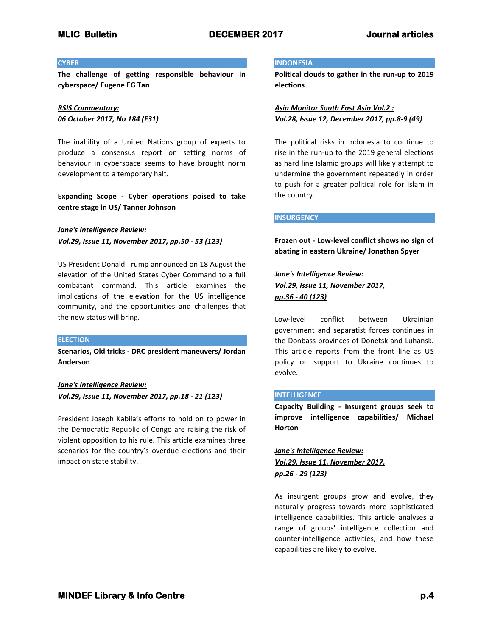### **CYBER**

**The challenge of getting responsible behaviour in cyberspace/ Eugene EG Tan**

# *RSIS Commentary: 06 October 2017, No 184 (F31)*

The inability of a United Nations group of experts to produce a consensus report on setting norms of behaviour in cyberspace seems to have brought norm development to a temporary halt.

**Expanding Scope - Cyber operations poised to take centre stage in US/ Tanner Johnson**

*Jane's Intelligence Review: Vol.29, Issue 11, November 2017, pp.50 - 53 (123)*

US President Donald Trump announced on 18 August the elevation of the United States Cyber Command to a full combatant command. This article examines the implications of the elevation for the US intelligence community, and the opportunities and challenges that the new status will bring.

#### **ELECTION**

**Scenarios, Old tricks - DRC president maneuvers/ Jordan Anderson**

*Jane's Intelligence Review: Vol.29, Issue 11, November 2017, pp.18 - 21 (123)*

President Joseph Kabila's efforts to hold on to power in the Democratic Republic of Congo are raising the risk of violent opposition to his rule. This article examines three scenarios for the country's overdue elections and their impact on state stability.

#### **INDONESIA**

**Political clouds to gather in the run-up to 2019 elections**

*Asia Monitor South East Asia Vol.2 : Vol.28, Issue 12, December 2017, pp.8-9 (49)*

The political risks in Indonesia to continue to rise in the run-up to the 2019 general elections as hard line Islamic groups will likely attempt to undermine the government repeatedly in order to push for a greater political role for Islam in the country.

### **INSURGENCY**

**Frozen out - Low-level conflict shows no sign of abating in eastern Ukraine/ Jonathan Spyer**

*Jane's Intelligence Review: Vol.29, Issue 11, November 2017, pp.36 - 40 (123)*

Low-level conflict between Ukrainian government and separatist forces continues in the Donbass provinces of Donetsk and Luhansk. This article reports from the front line as US policy on support to Ukraine continues to evolve.

## **INTELLIGENCE**

**Capacity Building - Insurgent groups seek to improve intelligence capabilities/ Michael Horton**

*Jane's Intelligence Review: Vol.29, Issue 11, November 2017, pp.26 - 29 (123)*

As insurgent groups grow and evolve, they naturally progress towards more sophisticated intelligence capabilities. This article analyses a range of groups' intelligence collection and counter-intelligence activities, and how these capabilities are likely to evolve.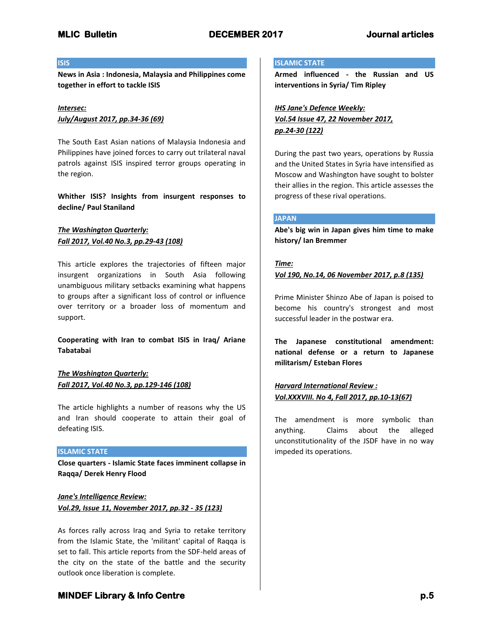## **ISIS**

**News in Asia : Indonesia, Malaysia and Philippines come together in effort to tackle ISIS**

## *Intersec: July/August 2017, pp.34-36 (69)*

The South East Asian nations of Malaysia Indonesia and Philippines have joined forces to carry out trilateral naval patrols against ISIS inspired terror groups operating in the region.

**Whither ISIS? Insights from insurgent responses to decline/ Paul Staniland**

# *The Washington Quarterly: Fall 2017, Vol.40 No.3, pp.29-43 (108)*

This article explores the trajectories of fifteen major insurgent organizations in South Asia following unambiguous military setbacks examining what happens to groups after a significant loss of control or influence over territory or a broader loss of momentum and support.

**Cooperating with Iran to combat ISIS in Iraq/ Ariane Tabatabai**

*The Washington Quarterly: Fall 2017, Vol.40 No.3, pp.129-146 (108)*

The article highlights a number of reasons why the US and Iran should cooperate to attain their goal of defeating ISIS.

### **ISLAMIC STATE**

**Close quarters - Islamic State faces imminent collapse in Raqqa/ Derek Henry Flood**

*Jane's Intelligence Review: Vol.29, Issue 11, November 2017, pp.32 - 35 (123)*

As forces rally across Iraq and Syria to retake territory from the Islamic State, the 'militant' capital of Raqqa is set to fall. This article reports from the SDF-held areas of the city on the state of the battle and the security outlook once liberation is complete.

## **ISLAMIC STATE**

**Armed influenced - the Russian and US interventions in Syria/ Tim Ripley**

*IHS Jane's Defence Weekly: Vol.54 Issue 47, 22 November 2017, pp.24-30 (122)*

During the past two years, operations by Russia and the United States in Syria have intensified as Moscow and Washington have sought to bolster their allies in the region. This article assesses the progress of these rival operations.

#### **JAPAN**

**Abe's big win in Japan gives him time to make history/ Ian Bremmer**

#### *Time:*

#### *Vol 190, No.14, 06 November 2017, p.8 (135)*

Prime Minister Shinzo Abe of Japan is poised to become his country's strongest and most successful leader in the postwar era.

**The Japanese constitutional amendment: national defense or a return to Japanese militarism/ Esteban Flores**

*Harvard International Review : Vol.XXXVIII. No 4, Fall 2017, pp.10-13(67)*

The amendment is more symbolic than anything. Claims about the alleged unconstitutionality of the JSDF have in no way impeded its operations.

# **MINDEF Library & Info Centre p.5** *p.5*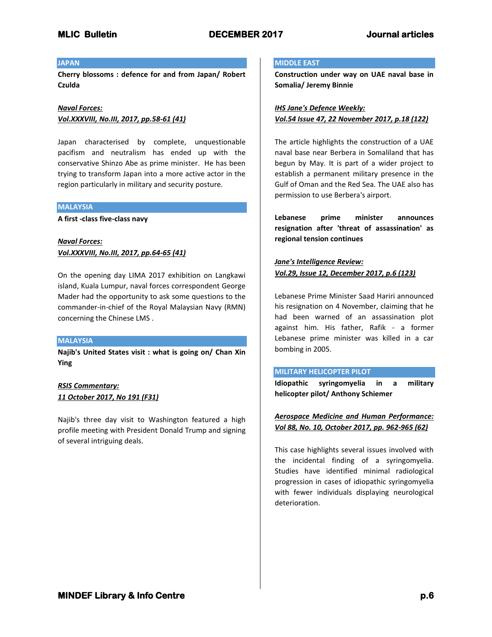# **JAPAN**

**Cherry blossoms : defence for and from Japan/ Robert Czulda**

*Naval Forces: Vol.XXXVIII, No.III, 2017, pp.58-61 (41)*

Japan characterised by complete, unquestionable pacifism and neutralism has ended up with the conservative Shinzo Abe as prime minister. He has been trying to transform Japan into a more active actor in the region particularly in military and security posture.

## **MALAYSIA**

**A first -class five-class navy**

*Naval Forces: Vol.XXXVIII, No.III, 2017, pp.64-65 (41)*

On the opening day LIMA 2017 exhibition on Langkawi island, Kuala Lumpur, naval forces correspondent George Mader had the opportunity to ask some questions to the commander-in-chief of the Royal Malaysian Navy (RMN) concerning the Chinese LMS .

## **MALAYSIA**

**Najib's United States visit : what is going on/ Chan Xin Ying**

# *RSIS Commentary: 11 October 2017, No 191 (F31)*

Najib's three day visit to Washington featured a high profile meeting with President Donald Trump and signing of several intriguing deals.

# **MIDDLE EAST**

**Construction under way on UAE naval base in Somalia/ Jeremy Binnie**

# *IHS Jane's Defence Weekly: Vol.54 Issue 47, 22 November 2017, p.18 (122)*

The article highlights the construction of a UAE naval base near Berbera in Somaliland that has begun by May. It is part of a wider project to establish a permanent military presence in the Gulf of Oman and the Red Sea. The UAE also has permission to use Berbera's airport.

**Lebanese prime minister announces resignation after 'threat of assassination' as regional tension continues**

# *Jane's Intelligence Review: Vol.29, Issue 12, December 2017, p.6 (123)*

Lebanese Prime Minister Saad Hariri announced his resignation on 4 November, claiming that he had been warned of an assassination plot against him. His father, Rafik - a former Lebanese prime minister was killed in a car bombing in 2005.

### **MILITARY HELICOPTER PILOT**

**Idiopathic syringomyelia in a military helicopter pilot/ Anthony Schiemer**

*Aerospace Medicine and Human Performance: Vol 88, No. 10, October 2017, pp. 962-965 (62)*

This case highlights several issues involved with the incidental finding of a syringomyelia. Studies have identified minimal radiological progression in cases of idiopathic syringomyelia with fewer individuals displaying neurological deterioration.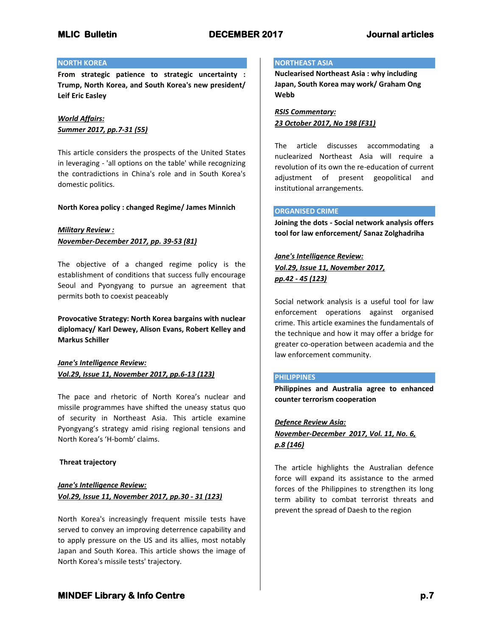## **NORTH KOREA**

**From strategic patience to strategic uncertainty : Trump, North Korea, and South Korea's new president/ Leif Eric Easley**

*World Affairs: Summer 2017, pp.7-31 (55)*

This article considers the prospects of the United States in leveraging - 'all options on the table' while recognizing the contradictions in China's role and in South Korea's domestic politics.

### **North Korea policy : changed Regime/ James Minnich**

## *Military Review : November-December 2017, pp. 39-53 (81)*

The objective of a changed regime policy is the establishment of conditions that success fully encourage Seoul and Pyongyang to pursue an agreement that permits both to coexist peaceably

**Provocative Strategy: North Korea bargains with nuclear diplomacy/ Karl Dewey, Alison Evans, Robert Kelley and Markus Schiller**

*Jane's Intelligence Review: Vol.29, Issue 11, November 2017, pp.6-13 (123)*

The pace and rhetoric of North Korea's nuclear and missile programmes have shifted the uneasy status quo of security in Northeast Asia. This article examine Pyongyang's strategy amid rising regional tensions and North Korea's 'H-bomb' claims.

### **Threat trajectory**

*Jane's Intelligence Review: Vol.29, Issue 11, November 2017, pp.30 - 31 (123)*

North Korea's increasingly frequent missile tests have served to convey an improving deterrence capability and to apply pressure on the US and its allies, most notably Japan and South Korea. This article shows the image of North Korea's missile tests' trajectory.

#### **NORTHEAST ASIA**

**Nuclearised Northeast Asia : why including Japan, South Korea may work/ Graham Ong Webb**

*RSIS Commentary: 23 October 2017, No 198 (F31)*

The article discusses accommodating a nuclearized Northeast Asia will require a revolution of its own the re-education of current adjustment of present geopolitical and institutional arrangements.

#### **ORGANISED CRIME**

**Joining the dots - Social network analysis offers tool for law enforcement/ Sanaz Zolghadriha**

# *Jane's Intelligence Review: Vol.29, Issue 11, November 2017, pp.42 - 45 (123)*

Social network analysis is a useful tool for law enforcement operations against organised crime. This article examines the fundamentals of the technique and how it may offer a bridge for greater co-operation between academia and the law enforcement community.

### **PHILIPPINES**

**Philippines and Australia agree to enhanced counter terrorism cooperation**

# *Defence Review Asia: November-December 2017, Vol. 11, No. 6,*

*p.8 (146)*

The article highlights the Australian defence force will expand its assistance to the armed forces of the Philippines to strengthen its long term ability to combat terrorist threats and prevent the spread of Daesh to the region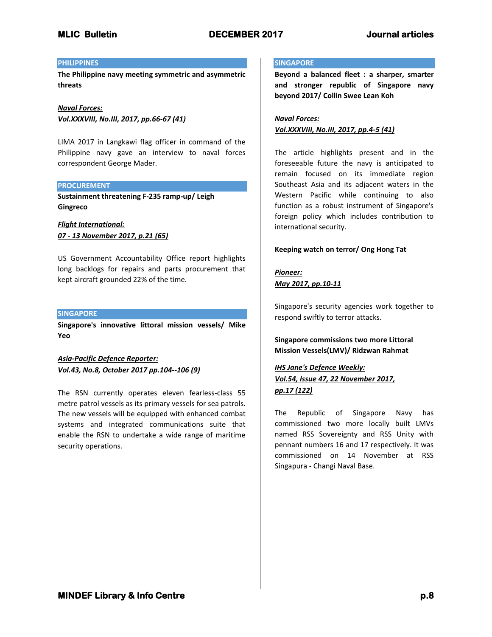## **PHILIPPINES**

**The Philippine navy meeting symmetric and asymmetric threats**

*Naval Forces: Vol.XXXVIII, No.III, 2017, pp.66-67 (41)*

LIMA 2017 in Langkawi flag officer in command of the Philippine navy gave an interview to naval forces correspondent George Mader.

### **PROCUREMENT**

**Sustainment threatening F-235 ramp-up/ Leigh Gingreco**

*Flight International: 07 - 13 November 2017, p.21 (65)*

US Government Accountability Office report highlights long backlogs for repairs and parts procurement that kept aircraft grounded 22% of the time.

### **SINGAPORE**

**Singapore's innovative littoral mission vessels/ Mike Yeo**

*Asia-Pacific Defence Reporter: Vol.43, No.8, October 2017 pp.104--106 (9)*

The RSN currently operates eleven fearless-class 55 metre patrol vessels as its primary vessels for sea patrols. The new vessels will be equipped with enhanced combat systems and integrated communications suite that enable the RSN to undertake a wide range of maritime security operations.

#### **SINGAPORE**

**Beyond a balanced fleet : a sharper, smarter and stronger republic of Singapore navy beyond 2017/ Collin Swee Lean Koh**

*Naval Forces: Vol.XXXVIII, No.III, 2017, pp.4-5 (41)*

The article highlights present and in the foreseeable future the navy is anticipated to remain focused on its immediate region Southeast Asia and its adjacent waters in the Western Pacific while continuing to also function as a robust instrument of Singapore's foreign policy which includes contribution to international security.

### **Keeping watch on terror/ Ong Hong Tat**

*Pioneer: May 2017, pp.10-11*

Singapore's security agencies work together to respond swiftly to terror attacks.

**Singapore commissions two more Littoral Mission Vessels(LMV)/ Ridzwan Rahmat**

# *IHS Jane's Defence Weekly: Vol.54, Issue 47, 22 November 2017, pp.17 (122)*

The Republic of Singapore Navy has commissioned two more locally built LMVs named RSS Sovereignty and RSS Unity with pennant numbers 16 and 17 respectively. It was commissioned on 14 November at RSS Singapura - Changi Naval Base.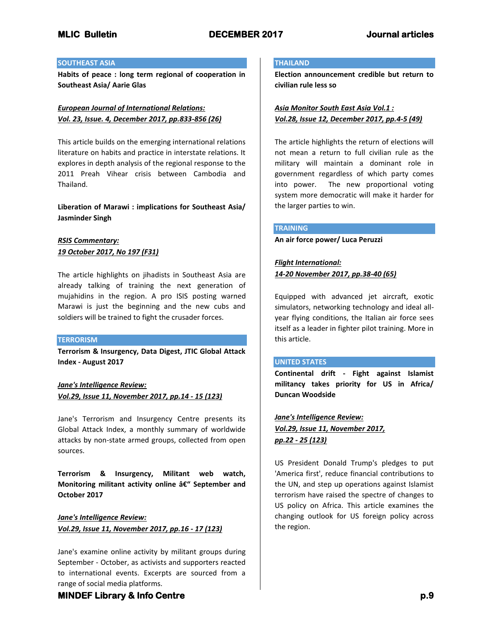## **SOUTHEAST ASIA**

**Habits of peace : long term regional of cooperation in Southeast Asia/ Aarie Glas**

# *European Journal of International Relations: Vol. 23, Issue. 4, December 2017, pp.833-856 (26)*

This article builds on the emerging international relations literature on habits and practice in interstate relations. It explores in depth analysis of the regional response to the 2011 Preah Vihear crisis between Cambodia and Thailand.

**Liberation of Marawi : implications for Southeast Asia/ Jasminder Singh**

# *RSIS Commentary: 19 October 2017, No 197 (F31)*

The article highlights on jihadists in Southeast Asia are already talking of training the next generation of mujahidins in the region. A pro ISIS posting warned Marawi is just the beginning and the new cubs and soldiers will be trained to fight the crusader forces.

## **TERRORISM**

**Terrorism & Insurgency, Data Digest, JTIC Global Attack Index - August 2017**

*Jane's Intelligence Review: Vol.29, Issue 11, November 2017, pp.14 - 15 (123)*

Jane's Terrorism and Insurgency Centre presents its Global Attack Index, a monthly summary of worldwide attacks by non-state armed groups, collected from open sources.

**Terrorism & Insurgency, Militant web watch,**  Monitoring militant activity online â€<sup>"</sup> September and **October 2017**

*Jane's Intelligence Review: Vol.29, Issue 11, November 2017, pp.16 - 17 (123)*

Jane's examine online activity by militant groups during September - October, as activists and supporters reacted to international events. Excerpts are sourced from a range of social media platforms.

## **THAILAND**

**Election announcement credible but return to civilian rule less so**

*Asia Monitor South East Asia Vol.1 : Vol.28, Issue 12, December 2017, pp.4-5 (49)*

The article highlights the return of elections will not mean a return to full civilian rule as the military will maintain a dominant role in government regardless of which party comes into power. The new proportional voting system more democratic will make it harder for the larger parties to win.

## **TRAINING**

**An air force power/ Luca Peruzzi**

# *Flight International: 14-20 November 2017, pp.38-40 (65)*

Equipped with advanced jet aircraft, exotic simulators, networking technology and ideal allyear flying conditions, the Italian air force sees itself as a leader in fighter pilot training. More in this article.

### **UNITED STATES**

**Continental drift - Fight against Islamist militancy takes priority for US in Africa/ Duncan Woodside**

*Jane's Intelligence Review: Vol.29, Issue 11, November 2017, pp.22 - 25 (123)*

US President Donald Trump's pledges to put 'America first', reduce financial contributions to the UN, and step up operations against Islamist terrorism have raised the spectre of changes to US policy on Africa. This article examines the changing outlook for US foreign policy across the region.